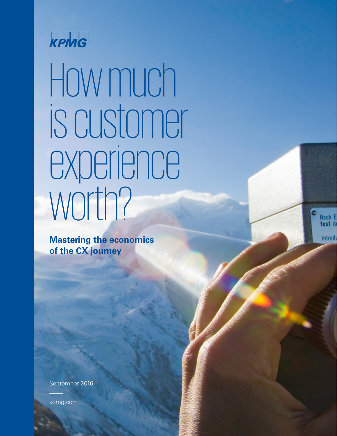

icon **M<sup>e</sup>tric<sup>s</sup> <sup>M</sup><sup>a</sup>nagemen<sup>t</sup>** How much is customer is customer<br>experience experience<br>worth?

**Mastering the economics of the CX journey** 



September 2016

kpmg.com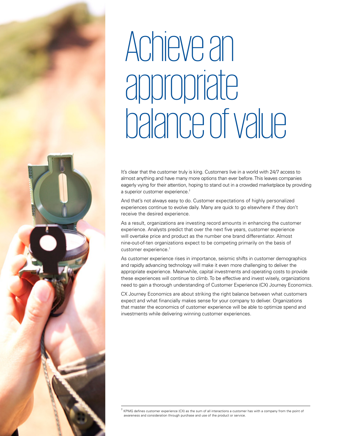## Achieve an appropriate balance of value

It's clear that the customer truly is king. Customers live in a world with 24/7 access to almost anything and have many more options than ever before. This leaves companies eagerly vying for their attention, hoping to stand out in a crowded marketplace by providing a superior customer experience.†

 And that's not always easy to do. Customer expectations of highly personalized experiences continue to evolve daily. Many are quick to go elsewhere if they don't receive the desired experience.

As a result, organizations are investing record amounts in enhancing the customer experience. Analysts predict that over the next five years, customer experience will overtake price and product as the number one brand differentiator. Almost nine-out-of-ten organizations expect to be competing primarily on the basis of customer experience.1

As customer experience rises in importance, seismic shifts in customer demographics and rapidly advancing technology will make it even more challenging to deliver the appropriate experience. Meanwhile, capital investments and operating costs to provide these experiences will continue to climb. To be effective and invest wisely, organizations need to gain a thorough understanding of Customer Experience (CX) Journey Economics.

 expect and what financially makes sense for your company to deliver. Organizations CX Journey Economics are about striking the right balance between what customers that master the economics of customer experience will be able to optimize spend and investments while delivering winning customer experiences.<br>
+<br>
+<br>
<sup>+</sup><br>
KPMG defines customer experience (CX) as the sum of all interactions a customer has with a company from the point of

awareness and consideration through purchase and use of the product or service.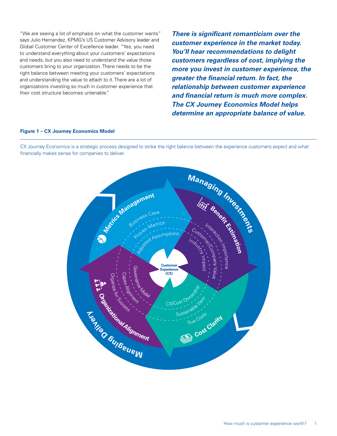"We are seeing a lot of emphasis on what the customer wants" says Julio Hernandez, KPMG's US Customer Advisory leader and Global Customer Center of Excellence leader. "Yes, you need to understand everything about your customers' expectations and needs, but you also need to understand the value those customers bring to your organization. There needs to be the right balance between meeting your customers' expectations and understanding the value to attach to it. There are a lot of organizations investing so much in customer experience that their cost structure becomes untenable."

*There is significant romanticism over the customer experience in the market today. You'll hear recommendations to delight customers regardless of cost, implying the more you invest in customer experience, the greater the financial return. In fact, the relationship between customer experience and financial return is much more complex. The CX Journey Economics Model helps determine an appropriate balance of value.* 

### **Figure 1 – CX Journey Economics Model**

CX Journey Economics is a strategic process designed to strike the right balance between the experience customers expect and what financially makes sense for companies to deliver.

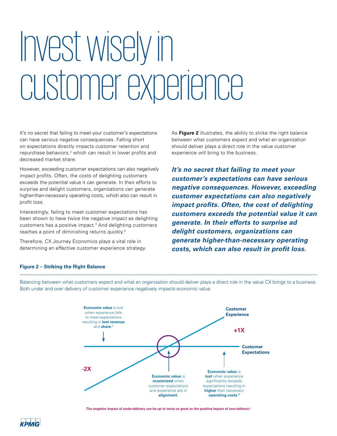## Invest wisely in customer experience

It's no secret that failing to meet your customer's expectations can have serious negative consequences. Falling short on expectations directly impacts customer retention and repurchase behaviors,<sup>2</sup> which can result in lower profits and decreased market share.

However, exceeding customer expectations can also negatively impact profits. Often, the costs of delighting customers exceeds the potential value it can generate. In their efforts to surprise and delight customers, organizations can generate higher-than-necessary operating costs, which also can result in profit loss.

Interestingly, failing to meet customer expectations has been shown to have twice the negative impact as delighting customers has a positive impact.3 And delighting customers reaches a point of diminishing returns quickly.4

Therefore, CX Journey Economics plays a vital role in determining an effective customer experience strategy. As **Figure 2** illustrates, the ability to strike the right balance between what customers expect and what an organization should deliver plays a direct role in the value customer experience will bring to the business.

*It's no secret that failing to meet your customer's expectations can have serious negative consequences. However, exceeding customer expectations can also negatively impact profits. Often, the cost of delighting customers exceeds the potential value it can generate. In their efforts to surprise ad delight customers, organizations can generate higher-than-necessary operating costs, which can also result in profit loss.* 

### **Figure 2 – Striking the Right Balance**

Balancing between what customers expect and what an organization should deliver plays a direct role in the value CX brings to a business. Both under and over delivery of customer experience negatively impacts economic value.



**The negative impact of under-delivery can be up to twice as great as the positive impact of over-delivery.6** 

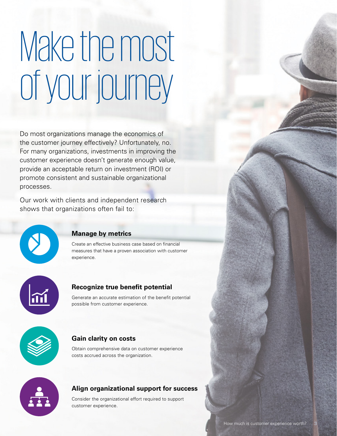## Make the most of your journey

Do most organizations manage the economics of the customer journey effectively? Unfortunately, no. For many organizations, investments in improving the customer experience doesn't generate enough value, provide an acceptable return on investment (ROI) or promote consistent and sustainable organizational processes.

Our work with clients and independent research shows that organizations often fail to:



### **Manage by metrics**

Create an effective business case based on financial measures that have a proven association with customer experience.



### **Recognize true beneft potential**

Generate an accurate estimation of the benefit potential possible from customer experience.



### **Gain clarity on costs**

Obtain comprehensive data on customer experience costs accrued across the organization.



### **Align organizational support for success**

Consider the organizational effort required to support customer experience.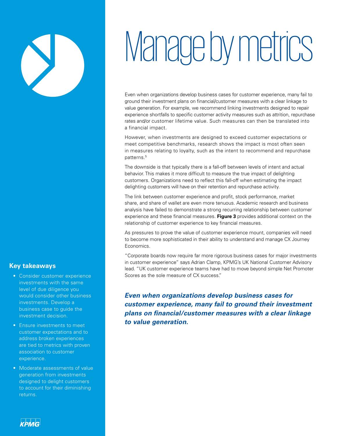### **Key takeaways**

- • Consider customer experience investments with the same level of due diligence you would consider other business investments. Develop a business case to guide the investment decision.
- experience. • Ensure investments to meet customer expectations and to address broken experiences are tied to metrics with proven association to customer
- Moderate assessments of value generation from investments designed to delight customers to account for their diminishing returns.

# Manage by metrics

 rates and/or customer lifetime value. Such measures can then be translated into Even when organizations develop business cases for customer experience, many fail to ground their investment plans on financial/customer measures with a clear linkage to value generation. For example, we recommend linking investments designed to repair experience shortfalls to specific customer activity measures such as attrition, repurchase a financial impact.

However, when investments are designed to exceed customer expectations or meet competitive benchmarks, research shows the impact is most often seen in measures relating to loyalty, such as the intent to recommend and repurchase patterns.<sup>5</sup>

 delighting customers will have on their retention and repurchase activity. The downside is that typically there is a fall-off between levels of intent and actual behavior. This makes it more difficult to measure the true impact of delighting customers. Organizations need to reflect this fall-off when estimating the impact

The link between customer experience and profit, stock performance, market share, and share of wallet are even more tenuous. Academic research and business analysis have failed to demonstrate a strong recurring relationship between customer experience and these financial measures. **Figure 3** provides additional context on the relationship of customer experience to key financial measures.

As pressures to prove the value of customer experience mount, companies will need to become more sophisticated in their ability to understand and manage CX Journey Economics.

"Corporate boards now require far more rigorous business cases for major investments in customer experience" says Adrian Clamp, KPMG's UK National Customer Advisory lead. "UK customer experience teams have had to move beyond simple Net Promoter Scores as the sole measure of CX success."

*Even when organizations develop business cases for customer experience, many fail to ground their investment plans on financial/customer measures with a clear linkage to value generation.* 

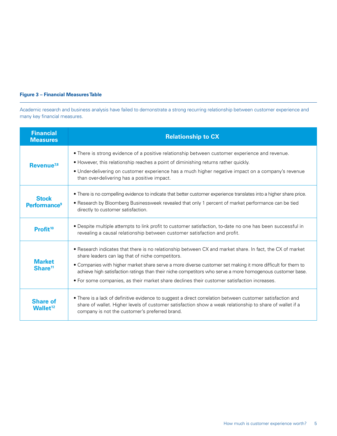### **Figure 3 – Financial Measures Table**

Academic research and business analysis have failed to demonstrate a strong recurring relationship between customer experience and many key financial measures.

| <b>Financial</b><br><b>Measures</b>             | <b>Relationship to CX</b>                                                                                                                                                                                                                                                                                                                                                                                                                                                                |
|-------------------------------------------------|------------------------------------------------------------------------------------------------------------------------------------------------------------------------------------------------------------------------------------------------------------------------------------------------------------------------------------------------------------------------------------------------------------------------------------------------------------------------------------------|
| Revenue <sup>7,8</sup>                          | • There is strong evidence of a positive relationship between customer experience and revenue.<br>• However, this relationship reaches a point of diminishing returns rather quickly.<br>• Under-delivering on customer experience has a much higher negative impact on a company's revenue<br>than over-delivering has a positive impact.                                                                                                                                               |
| <b>Stock</b><br><b>Performance</b> <sup>9</sup> | • There is no compelling evidence to indicate that better customer experience translates into a higher share price.<br>• Research by Bloomberg Businessweek revealed that only 1 percent of market performance can be tied<br>directly to customer satisfaction.                                                                                                                                                                                                                         |
| Profit <sup>10</sup>                            | . Despite multiple attempts to link profit to customer satisfaction, to-date no one has been successful in<br>revealing a causal relationship between customer satisfaction and profit.                                                                                                                                                                                                                                                                                                  |
| <b>Market</b><br>Share <sup>11</sup>            | • Research indicates that there is no relationship between CX and market share. In fact, the CX of market<br>share leaders can lag that of niche competitors.<br>• Companies with higher market share serve a more diverse customer set making it more difficult for them to<br>achieve high satisfaction ratings than their niche competitors who serve a more homogenous customer base.<br>• For some companies, as their market share declines their customer satisfaction increases. |
| <b>Share of</b><br><b>Wallet<sup>12</sup></b>   | • There is a lack of definitive evidence to suggest a direct correlation between customer satisfaction and<br>share of wallet. Higher levels of customer satisfaction show a weak relationship to share of wallet if a<br>company is not the customer's preferred brand.                                                                                                                                                                                                                 |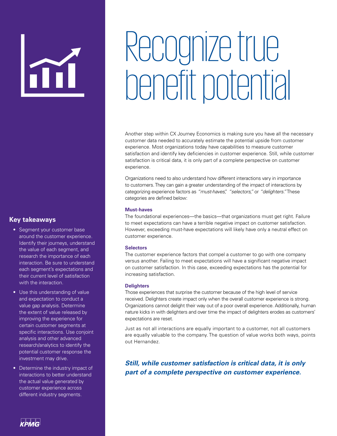### **Key takeaways**

- Segment your customer base around the customer experience. Identify their journeys, understand the value of each segment, and research the importance of each interaction. Be sure to understand each segment's expectations and their current level of satisfaction with the interaction.
- Use this understanding of value and expectation to conduct a value gap analysis. Determine the extent of value released by improving the experience for certain customer segments at specific interactions. Use conjoint analysis and other advanced research/analytics to identify the potential customer response the investment may drive.
- Determine the industry impact of interactions to better understand the actual value generated by customer experience across different industry segments.

## Recognize true benefit potential

Another step within CX Journey Economics is making sure you have all the necessary customer data needed to accurately estimate the potential upside from customer experience. Most organizations today have capabilities to measure customer satisfaction and identify key deficiencies in customer experience. Still, while customer satisfaction is critical data, it is only part of a complete perspective on customer experience.

 categories are defined below: Organizations need to also understand how different interactions vary in importance to customers. They can gain a greater understanding of the impact of interactions by categorizing experience factors as *"must-haves*," *"selectors,"* or *"delighters."* These

### **Must-haves**

The foundational experiences—the basics—that organizations must get right. Failure to meet expectations can have a terrible negative impact on customer satisfaction. However, exceeding must-have expectations will likely have only a neutral effect on customer experience.

### **Selectors**

The customer experience factors that compel a customer to go with one company versus another. Failing to meet expectations will have a significant negative impact on customer satisfaction. In this case, exceeding expectations has the potential for increasing satisfaction.

### **Delighters**

Those experiences that surprise the customer because of the high level of service received. Delighters create impact only when the overall customer experience is strong. Organizations cannot delight their way out of a poor overall experience. Additionally, human nature kicks in with delighters and over time the impact of delighters erodes as customers' expectations are reset.

Just as not all interactions are equally important to a customer, not all customers are equally valuable to the company. The question of value works both ways, points out Hernandez.

*Still, while customer satisfaction is critical data, it is only part of a complete perspective on customer experience.* 

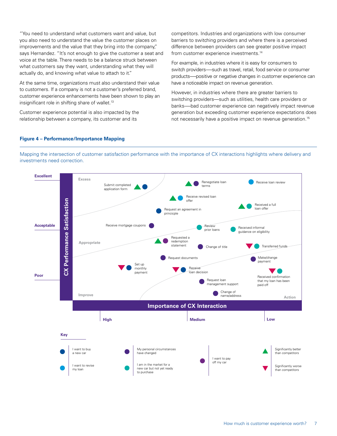"You need to understand what customers want and value, but you also need to understand the value the customer places on improvements and the value that they bring into the company." says Hernandez. "It's not enough to give the customer a seat and voice at the table. There needs to be a balance struck between what customers say they want, understanding what they will actually do, and knowing what value to attach to it."

insignificant role in shifting share of wallet.<sup>13</sup> At the same time, organizations must also understand their value to customers. If a company is not a customer's preferred brand, customer experience enhancements have been shown to play an

Customer experience potential is also impacted by the relationship between a company, its customer and its

from customer experience investments.<sup>14</sup> competitors. Industries and organizations with low consumer barriers to switching providers and where there is a perceived difference between providers can see greater positive impact

have a noticeable impact on revenue generation. For example, in industries where it is easy for consumers to switch providers-such as travel, retail, food service or consumer products-—positive or negative changes in customer experience can

However, in industries where there are greater barriers to switching providers—such as utilities, health care providers or banks-—bad customer experience can negatively impact revenue generation but exceeding customer experience expectations does not necessarily have a positive impact on revenue generation.15

### **Figure 4 – Performance/Importance Mapping**

Mapping the intersection of customer satisfaction performance with the importance of CX interactions highlights where delivery and investments need correction.

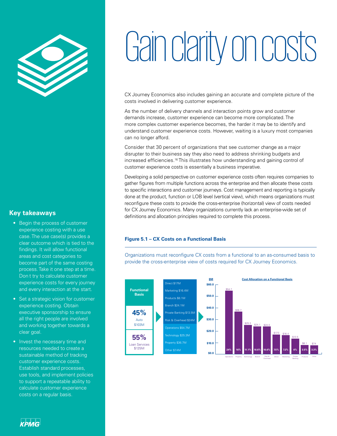

### **Key takeaways**

- Don t try to calculate customer • Begin the process of customer experience costing with a use case. The use case(s) provides a clear outcome which is tied to the findings. It will allow functional areas and cost categories to become part of the same costing process. Take it one step at a time. experience costs for every journey and every interaction at the start.
- Set a strategic vision for customer experience costing. Obtain executive sponsorship to ensure all the right people are involved and working together towards a clear goal.
- costs on a regular basis. • Invest the necessary time and resources needed to create a sustainable method of tracking customer experience costs. Establish standard processes, use tools, and implement policies to support a repeatable ability to calculate customer experience

# Gain clarity on costs

CX Journey Economics also includes gaining an accurate and complete picture of the costs involved in delivering customer experience.

As the number of delivery channels and interaction points grow and customer demands increase, customer experience can become more complicated. The more complex customer experience becomes, the harder it may be to identify and understand customer experience costs. However, waiting is a luxury most companies can no longer afford.

 Consider that 30 percent of organizations that see customer change as a major disrupter to their business say they also need to address shrinking budgets and increased efficiencies.<sup>16</sup> This illustrates how understanding and gaining control of customer experience costs is essentially a business imperative.

Developing a solid perspective on customer experience costs often requires companies to gather figures from multiple functions across the enterprise and then allocate these costs to specific interactions and customer journeys. Cost management and reporting is typically done at the product, function or LOB level (vertical view), which means organizations must reconfigure these costs to provide the cross-enterprise (horizontal) view of costs needed for CX Journey Economics. Many organizations currently lack an enterprise-wide set of definitions and allocation principles required to complete this process.

### **Figure 5.1 – CX Costs on a Functional Basis**

Organizations must reconfigure CX costs from a functional to an as-consumed basis to provide the cross-enterprise view of costs required for CX Journey Economics.



**Property** Technology Branch **Direct** Marketing Products Overhead **Banking** 

**KPMG**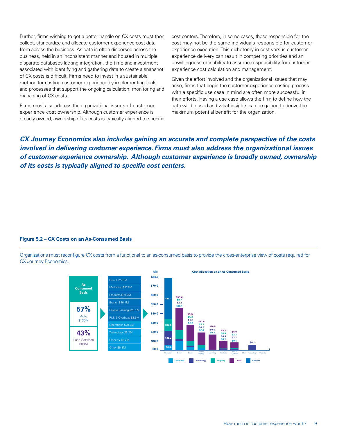Further, firms wishing to get a better handle on CX costs must then collect, standardize and allocate customer experience cost data from across the business. As data is often dispersed across the business, held in an inconsistent manner and housed in multiple disparate databases lacking integration, the time and investment associated with identifying and gathering data to create a snapshot of CX costs is difficult. Firms need to invest in a sustainable method for costing customer experience by implementing tools and processes that support the ongoing calculation, monitoring and managing of CX costs.

 Firms must also address the organizational issues of customer experience cost ownership. Although customer experience is broadly owned, ownership of its costs is typically aligned to specific

 cost centers. Therefore, in some cases, those responsible for the cost may not be the same individuals responsible for customer experience execution. This dichotomy in cost-versus-customer experience delivery can result in competing priorities and an unwillingness or inability to assume responsibility for customer experience cost calculation and management.

Given the effort involved and the organizational issues that may arise, firms that begin the customer experience costing process with a specific use case in mind are often more successful in their efforts. Having a use case allows the firm to define how the data will be used and what insights can be gained to derive the maximum potential benefit for the organization.

 *CX Journey Economics also includes gaining an accurate and complete perspective of the costs involved in delivering customer experience. Firms must also address the organizational issues of customer experience ownership. Although customer experience is broadly owned, ownership of its costs is typically aligned to specific cost centers.* 

### **Figure 5.2 – CX Costs on an As-Consumed Basis**

Organizations must reconfigure CX costs from a functional to an as-consumed basis to provide the cross-enterprise view of costs required for CX Journey Economics.

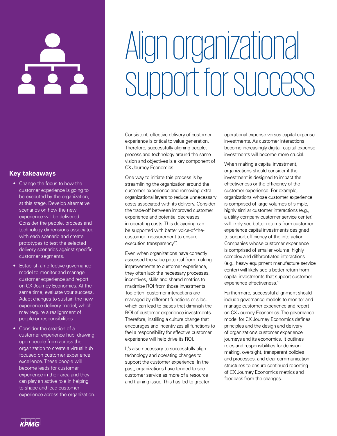# $\bullet$

### **Key takeaways**

- Change the focus to how the customer experience is going to be executed by the organization, at this stage. Develop alternative scenarios on how the new experience will be delivered. Consider the people, process and technology dimensions associated with each scenario and create prototypes to test the selected delivery scenarios against specific customer segments.
- Establish an effective governance model to monitor and manage customer experience and report on CX Journey Economics. At the same time, evaluate your success. Adapt changes to sustain the new experience delivery model, which may require a realignment of people or responsibilities.
- Consider the creation of a customer experience hub, drawing upon people from across the organization to create a virtual hub focused on customer experience excellence. These people will become leads for customer experience in their area and they can play an active role in helping to shape and lead customer experience across the organization.

## Align organizational support for success

Consistent, effective delivery of customer experience is critical to value generation. Therefore, successfully aligning people, process and technology around the same vision and objectives is a key component of CX Journey Economics.

One way to initiate this process is by streamlining the organization around the customer experience and removing extra organizational layers to reduce unnecessary costs associated with its delivery. Consider the trade-off between improved customer experience and potential decreases in operating costs. This delayering can be supported with better voice-of-thecustomer measurement to ensure execution transparency<sup>17</sup>.

Even when organizations have correctly assessed the value potential from making improvements to customer experience, they often lack the necessary processes, incentives, skills and shared metrics to maximize ROI from those investments. Too often, customer interactions are managed by different functions or silos, which can lead to biases that diminish the ROI of customer experience investments. Therefore, instilling a culture change that encourages and incentivizes all functions to feel a responsibility for effective customer experience will help drive its ROI.

It's also necessary to successfully align technology and operating changes to support the customer experience. In the past, organizations have tended to see customer service as more of a resource and training issue. This has led to greater

operational expense versus capital expense investments. As customer interactions become increasingly digital, capital expense investments will become more crucial.

When making a capital investment, organizations should consider if the investment is designed to impact the effectiveness or the efficiency of the customer experience. For example, organizations whose customer experience is comprised of large volumes of simple, highly similar customer interactions (e.g., a utility company customer service center) will likely see better returns from customer experience capital investments designed to support efficiency of the interaction. Companies whose customer experience is comprised of smaller volume, highly complex and differentiated interactions (e.g., heavy equipment manufacture service center) will likely see a better return from capital investments that support customer experience effectiveness.18

Furthermore, successful alignment should include governance models to monitor and manage customer experience and report on CX Journey Economics. The governance model for CX Journey Economics defines principles and the design and delivery of organization's customer experience journeys and its economics. It outlines roles and responsibilities for decisionmaking, oversight, transparent policies and processes, and clear communication structures to ensure continued reporting of CX Journey Economics metrics and feedback from the changes.

KPMG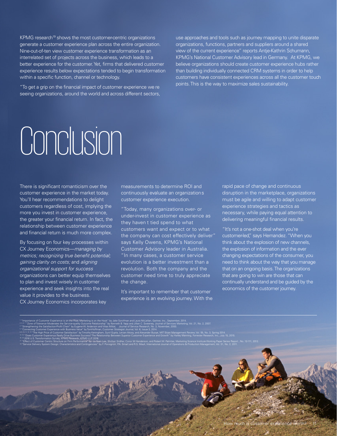KPMG research<sup>19</sup> shows the most customer-centric organizations generate a customer experience plan across the entire organization. Nine-out-of-ten view customer experience transformation as an interrelated set of projects across the business, which leads to a better experience for the customer. Yet, firms that delivered customer experience results below expectations tended to begin transformation within a specific function, channel or technology.

"To get a grip on the financial impact of customer experience we re seeing organizations, around the world and across different sectors,

" KPMG's National Customer Advisory lead in Germany. At KPMG, we " points. This is the way to maximize sales sustainability. use approaches and tools such as journey mapping to unite disparate organizations, functions, partners and suppliers around a shared view of the current experience" reports Antje-Kathrin Schumann, believe organizations should create customer experience hubs rather than building individually connected CRM systems in order to help customers have consistent experiences across all the customer touch

### **Conclusion**

There is significant romanticism over the customer experience in the market today. You'll hear recommendations to delight customers regardless of cost, implying the more you invest in customer experience, the greater your financial return. In fact, the relationship between customer experience and financial return is much more complex.

— *organizational support for success*  By focusing on four key processes within CX Journey Economics—*managing by metrics; recognizing true benefit potential; gaining clarity on costs;* and *aligning*  organizations can better equip themselves to plan and invest wisely in customer experience and seek insights into the real value it provides to the business. CX Journey Economics incorporates key

continuously evaluate an organizations measurements to determine ROI and customer experience execution.

' they haven t tied spend to what the change. "Today, many organizations over- or under-invest in customer experience as customers want and expect or to what the company can cost effectively deliver" says Kelly Owens, KPMG's National Customer Advisory leader in Australia. "In many cases, a customer service evolution is a better investment than a revolution. Both the company and the customer need time to truly appreciate

It's important to remember that customer experience is an evolving journey. With the rapid pace of change and continuous disruption in the marketplace, organizations must be agile and willing to adapt customer experience strategies and tactics as necessary, while paying equal attention to delivering meaningful financial results.

- the explosion of information and the ever economics of the customer journey. "It's not a one-shot deal when you're customer-led," says Hernandez. "When you think about the explosion of new channels, changing expectations of the consumer, you need to think about the way that you manage that on an ongoing basis. The organizations that are going to win are those that can continually understand and be guided by the

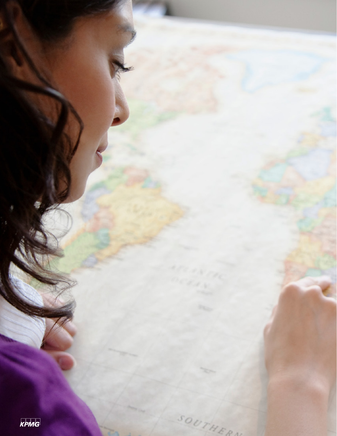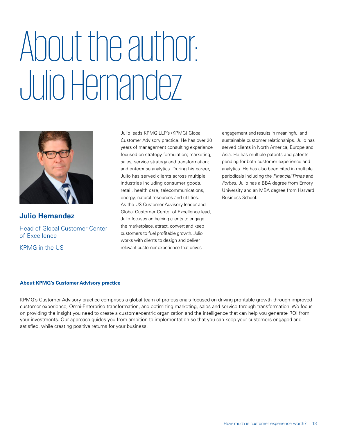# About the author: Julio Hernandez



**Julio Hernandez** 

Head of Global Customer Center of Excellence

KPMG in the US

 and enterprise analytics. During his career, works with clients to design and deliver Julio leads KPMG LLP's (KPMG) Global Customer Advisory practice. He has over 20 years of management consulting experience focused on strategy formulation; marketing, sales, service strategy and transformation; Julio has served clients across multiple industries including consumer goods, retail, health care, telecommunications, energy, natural resources and utilities. As the US Customer Advisory leader and Global Customer Center of Excellence lead, Julio focuses on helping clients to engage the marketplace, attract, convert and keep customers to fuel profitable growth. Julio relevant customer experience that drives

engagement and results in meaningful and sustainable customer relationships. Julio has served clients in North America, Europe and Asia. He has multiple patents and patents pending for both customer experience and analytics. He has also been cited in multiple periodicals including the *Financial Times* and *Forbes*. Julio has a BBA degree from Emory University and an MBA degree from Harvard Business School.

### **About KPMG's Customer Advisory practice**

KPMG's Customer Advisory practice comprises a global team of professionals focused on driving profitable growth through improved customer experience, Omni-Enterprise transformation, and optimizing marketing, sales and service through transformation. We focus on providing the insight you need to create a customer-centric organization and the intelligence that can help you generate ROI from your investments. Our approach guides you from ambition to implementation so that you can keep your customers engaged and satisfied, while creating positive returns for your business.